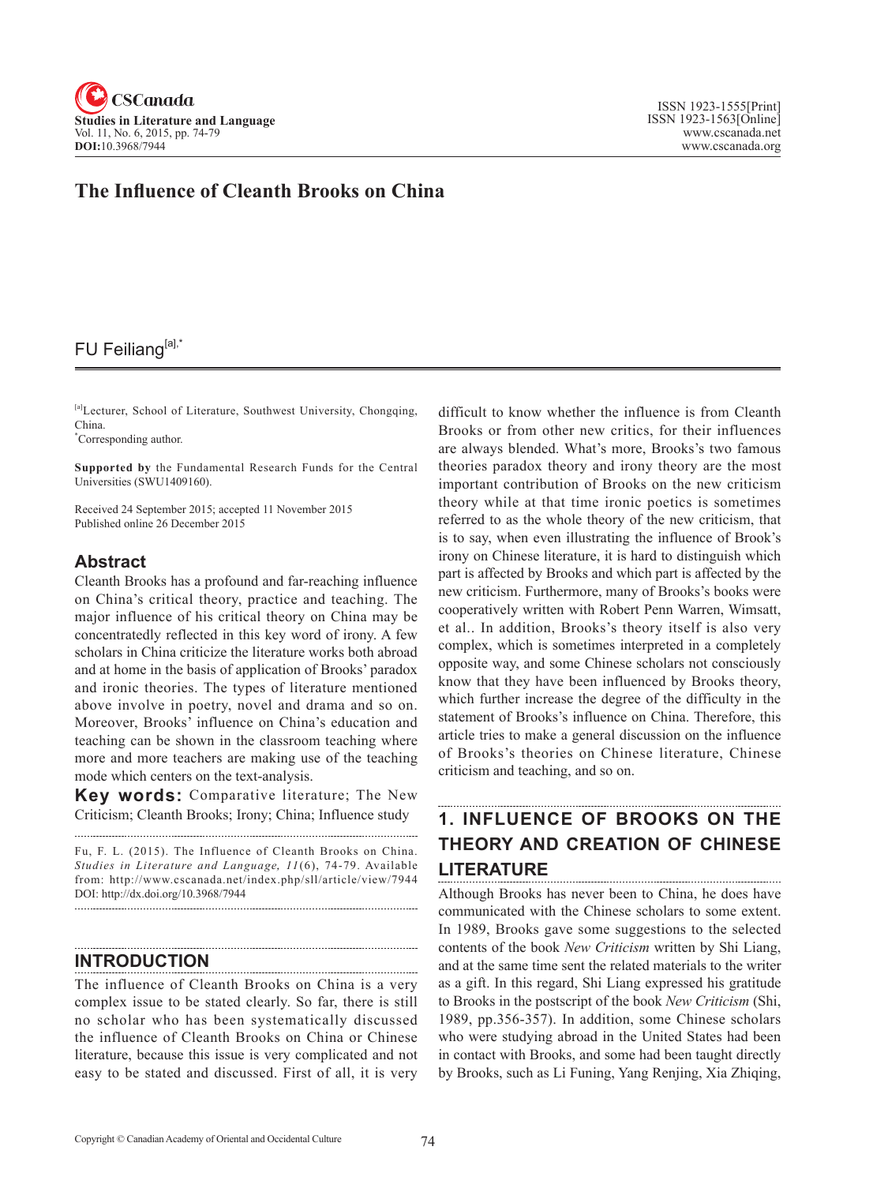

## **The Influence of Cleanth Brooks on China**

## FU Feiliang[a],\*

[a]Lecturer, School of Literature, Southwest University, Chongqing, China.

\* Corresponding author.

**Supported by** the Fundamental Research Funds for the Central Universities (SWU1409160).

Received 24 September 2015; accepted 11 November 2015 Published online 26 December 2015

#### **Abstract**

Cleanth Brooks has a profound and far-reaching influence on China's critical theory, practice and teaching. The major influence of his critical theory on China may be concentratedly reflected in this key word of irony. A few scholars in China criticize the literature works both abroad and at home in the basis of application of Brooks' paradox and ironic theories. The types of literature mentioned above involve in poetry, novel and drama and so on. Moreover, Brooks' influence on China's education and teaching can be shown in the classroom teaching where more and more teachers are making use of the teaching mode which centers on the text-analysis.

**Key words:** Comparative literature; The New Criticism; Cleanth Brooks; Irony; China; Influence study

Fu, F. L. (2015). The Influence of Cleanth Brooks on China. Studies in Literature and Language, 11(6), 74-79. Available from: http://www.cscanada.net/index.php/sll/article/view/7944 DOI: http://dx.doi.org/10.3968/7944

#### **INTRODUCTION**

The influence of Cleanth Brooks on China is a very complex issue to be stated clearly. So far, there is still no scholar who has been systematically discussed the influence of Cleanth Brooks on China or Chinese literature, because this issue is very complicated and not easy to be stated and discussed. First of all, it is very difficult to know whether the influence is from Cleanth Brooks or from other new critics, for their influences are always blended. What's more, Brooks's two famous theories paradox theory and irony theory are the most important contribution of Brooks on the new criticism theory while at that time ironic poetics is sometimes referred to as the whole theory of the new criticism, that is to say, when even illustrating the influence of Brook's irony on Chinese literature, it is hard to distinguish which part is affected by Brooks and which part is affected by the new criticism. Furthermore, many of Brooks's books were cooperatively written with Robert Penn Warren, Wimsatt, et al.. In addition, Brooks's theory itself is also very complex, which is sometimes interpreted in a completely opposite way, and some Chinese scholars not consciously know that they have been influenced by Brooks theory, which further increase the degree of the difficulty in the statement of Brooks's influence on China. Therefore, this article tries to make a general discussion on the influence of Brooks's theories on Chinese literature, Chinese criticism and teaching, and so on.

#### **1. INFLUENCE OF BROOKS ON THE THEORY AND CREATION OF CHINESE LITERATURE**

Although Brooks has never been to China, he does have communicated with the Chinese scholars to some extent. In 1989, Brooks gave some suggestions to the selected contents of the book *New Criticism* written by Shi Liang, and at the same time sent the related materials to the writer as a gift. In this regard, Shi Liang expressed his gratitude to Brooks in the postscript of the book *New Criticism* (Shi, 1989, pp.356-357). In addition, some Chinese scholars who were studying abroad in the United States had been in contact with Brooks, and some had been taught directly by Brooks, such as Li Funing, Yang Renjing, Xia Zhiqing,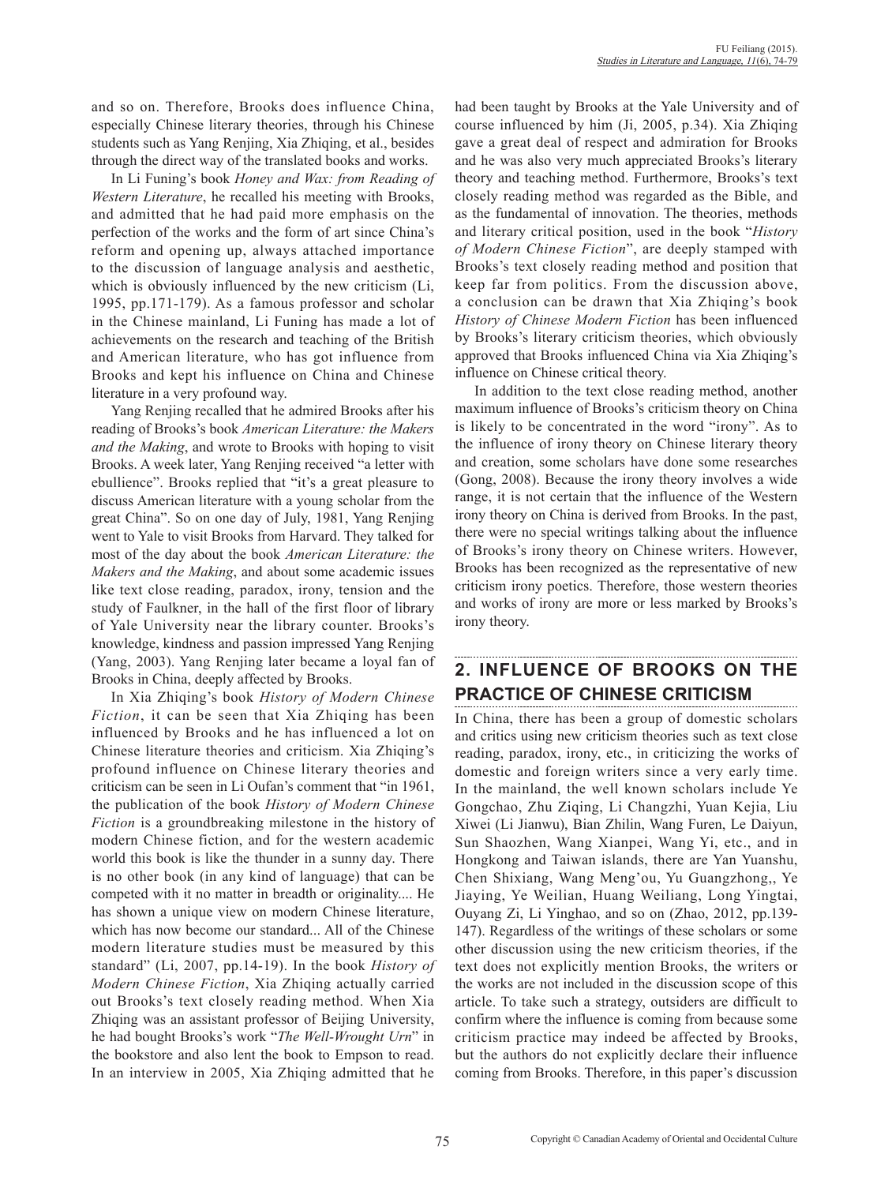and so on. Therefore, Brooks does influence China, especially Chinese literary theories, through his Chinese students such as Yang Renjing, Xia Zhiqing, et al., besides through the direct way of the translated books and works.

In Li Funing's book *Honey and Wax: from Reading of Western Literature*, he recalled his meeting with Brooks, and admitted that he had paid more emphasis on the perfection of the works and the form of art since China's reform and opening up, always attached importance to the discussion of language analysis and aesthetic, which is obviously influenced by the new criticism (Li, 1995, pp.171-179). As a famous professor and scholar in the Chinese mainland, Li Funing has made a lot of achievements on the research and teaching of the British and American literature, who has got influence from Brooks and kept his influence on China and Chinese literature in a very profound way.

Yang Renjing recalled that he admired Brooks after his reading of Brooks's book *American Literature: the Makers and the Making*, and wrote to Brooks with hoping to visit Brooks. A week later, Yang Renjing received "a letter with ebullience". Brooks replied that "it's a great pleasure to discuss American literature with a young scholar from the great China". So on one day of July, 1981, Yang Renjing went to Yale to visit Brooks from Harvard. They talked for most of the day about the book *American Literature: the Makers and the Making*, and about some academic issues like text close reading, paradox, irony, tension and the study of Faulkner, in the hall of the first floor of library of Yale University near the library counter. Brooks's knowledge, kindness and passion impressed Yang Renjing (Yang, 2003). Yang Renjing later became a loyal fan of Brooks in China, deeply affected by Brooks.

In Xia Zhiqing's book *History of Modern Chinese Fiction*, it can be seen that Xia Zhiqing has been influenced by Brooks and he has influenced a lot on Chinese literature theories and criticism. Xia Zhiqing's profound influence on Chinese literary theories and criticism can be seen in Li Oufan's comment that "in 1961, the publication of the book *History of Modern Chinese Fiction* is a groundbreaking milestone in the history of modern Chinese fiction, and for the western academic world this book is like the thunder in a sunny day. There is no other book (in any kind of language) that can be competed with it no matter in breadth or originality.... He has shown a unique view on modern Chinese literature, which has now become our standard... All of the Chinese modern literature studies must be measured by this standard" (Li, 2007, pp.14-19). In the book *History of Modern Chinese Fiction*, Xia Zhiqing actually carried out Brooks's text closely reading method. When Xia Zhiqing was an assistant professor of Beijing University, he had bought Brooks's work "*The Well-Wrought Urn*" in the bookstore and also lent the book to Empson to read. In an interview in 2005, Xia Zhiqing admitted that he

had been taught by Brooks at the Yale University and of course influenced by him (Ji, 2005, p.34). Xia Zhiqing gave a great deal of respect and admiration for Brooks and he was also very much appreciated Brooks's literary theory and teaching method. Furthermore, Brooks's text closely reading method was regarded as the Bible, and as the fundamental of innovation. The theories, methods and literary critical position, used in the book "*History of Modern Chinese Fiction*", are deeply stamped with Brooks's text closely reading method and position that keep far from politics. From the discussion above, a conclusion can be drawn that Xia Zhiqing's book *History of Chinese Modern Fiction* has been influenced by Brooks's literary criticism theories, which obviously approved that Brooks influenced China via Xia Zhiqing's influence on Chinese critical theory.

In addition to the text close reading method, another maximum influence of Brooks's criticism theory on China is likely to be concentrated in the word "irony". As to the influence of irony theory on Chinese literary theory and creation, some scholars have done some researches (Gong, 2008). Because the irony theory involves a wide range, it is not certain that the influence of the Western irony theory on China is derived from Brooks. In the past, there were no special writings talking about the influence of Brooks's irony theory on Chinese writers. However, Brooks has been recognized as the representative of new criticism irony poetics. Therefore, those western theories and works of irony are more or less marked by Brooks's irony theory.

# **2. INFLUENCE OF BROOKS ON THE PRACTICE OF CHINESE CRITICISM**

In China, there has been a group of domestic scholars and critics using new criticism theories such as text close reading, paradox, irony, etc., in criticizing the works of domestic and foreign writers since a very early time. In the mainland, the well known scholars include Ye Gongchao, Zhu Ziqing, Li Changzhi, Yuan Kejia, Liu Xiwei (Li Jianwu), Bian Zhilin, Wang Furen, Le Daiyun, Sun Shaozhen, Wang Xianpei, Wang Yi, etc., and in Hongkong and Taiwan islands, there are Yan Yuanshu, Chen Shixiang, Wang Meng'ou, Yu Guangzhong,, Ye Jiaying, Ye Weilian, Huang Weiliang, Long Yingtai, Ouyang Zi, Li Yinghao, and so on (Zhao, 2012, pp.139- 147). Regardless of the writings of these scholars or some other discussion using the new criticism theories, if the text does not explicitly mention Brooks, the writers or the works are not included in the discussion scope of this article. To take such a strategy, outsiders are difficult to confirm where the influence is coming from because some criticism practice may indeed be affected by Brooks, but the authors do not explicitly declare their influence coming from Brooks. Therefore, in this paper's discussion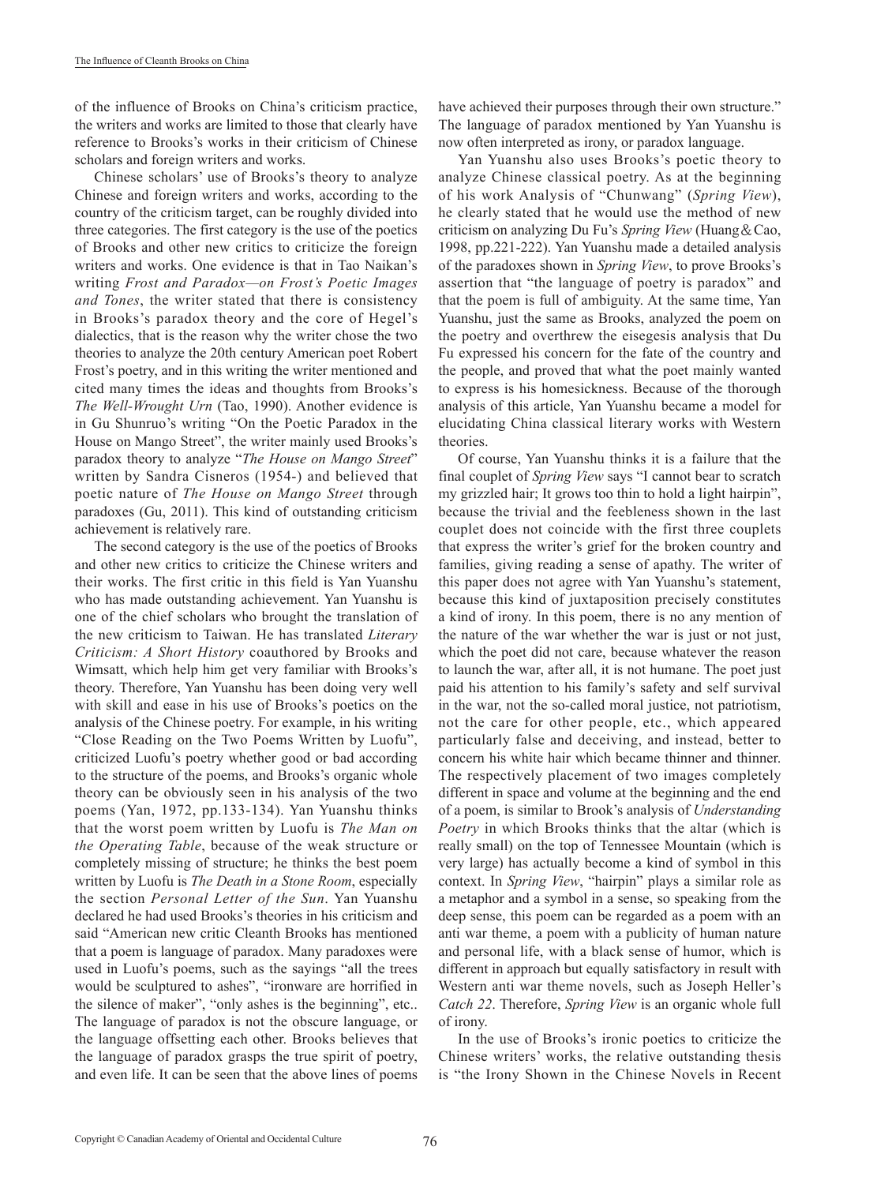of the influence of Brooks on China's criticism practice, the writers and works are limited to those that clearly have reference to Brooks's works in their criticism of Chinese scholars and foreign writers and works.

Chinese scholars' use of Brooks's theory to analyze Chinese and foreign writers and works, according to the country of the criticism target, can be roughly divided into three categories. The first category is the use of the poetics of Brooks and other new critics to criticize the foreign writers and works. One evidence is that in Tao Naikan's writing *Frost and Paradox—on Frost's Poetic Images and Tones*, the writer stated that there is consistency in Brooks's paradox theory and the core of Hegel's dialectics, that is the reason why the writer chose the two theories to analyze the 20th century American poet Robert Frost's poetry, and in this writing the writer mentioned and cited many times the ideas and thoughts from Brooks's *The Well-Wrought Urn* (Tao, 1990). Another evidence is in Gu Shunruo's writing "On the Poetic Paradox in the House on Mango Street", the writer mainly used Brooks's paradox theory to analyze "*The House on Mango Street*" written by Sandra Cisneros (1954-) and believed that poetic nature of *The House on Mango Street* through paradoxes (Gu, 2011). This kind of outstanding criticism achievement is relatively rare.

The second category is the use of the poetics of Brooks and other new critics to criticize the Chinese writers and their works. The first critic in this field is Yan Yuanshu who has made outstanding achievement. Yan Yuanshu is one of the chief scholars who brought the translation of the new criticism to Taiwan. He has translated *Literary Criticism: A Short History* coauthored by Brooks and Wimsatt, which help him get very familiar with Brooks's theory. Therefore, Yan Yuanshu has been doing very well with skill and ease in his use of Brooks's poetics on the analysis of the Chinese poetry. For example, in his writing "Close Reading on the Two Poems Written by Luofu", criticized Luofu's poetry whether good or bad according to the structure of the poems, and Brooks's organic whole theory can be obviously seen in his analysis of the two poems (Yan, 1972, pp.133-134). Yan Yuanshu thinks that the worst poem written by Luofu is *The Man on the Operating Table*, because of the weak structure or completely missing of structure; he thinks the best poem written by Luofu is *The Death in a Stone Room*, especially the section *Personal Letter of the Sun*. Yan Yuanshu declared he had used Brooks's theories in his criticism and said "American new critic Cleanth Brooks has mentioned that a poem is language of paradox. Many paradoxes were used in Luofu's poems, such as the sayings "all the trees would be sculptured to ashes", "ironware are horrified in the silence of maker", "only ashes is the beginning", etc.. The language of paradox is not the obscure language, or the language offsetting each other. Brooks believes that the language of paradox grasps the true spirit of poetry, and even life. It can be seen that the above lines of poems have achieved their purposes through their own structure." The language of paradox mentioned by Yan Yuanshu is now often interpreted as irony, or paradox language.

Yan Yuanshu also uses Brooks's poetic theory to analyze Chinese classical poetry. As at the beginning of his work Analysis of "Chunwang" (*Spring View*), he clearly stated that he would use the method of new criticism on analyzing Du Fu's *Spring View* (Huang&Cao, 1998, pp.221-222). Yan Yuanshu made a detailed analysis of the paradoxes shown in *Spring View*, to prove Brooks's assertion that "the language of poetry is paradox" and that the poem is full of ambiguity. At the same time, Yan Yuanshu, just the same as Brooks, analyzed the poem on the poetry and overthrew the eisegesis analysis that Du Fu expressed his concern for the fate of the country and the people, and proved that what the poet mainly wanted to express is his homesickness. Because of the thorough analysis of this article, Yan Yuanshu became a model for elucidating China classical literary works with Western theories.

Of course, Yan Yuanshu thinks it is a failure that the final couplet of *Spring View* says "I cannot bear to scratch my grizzled hair; It grows too thin to hold a light hairpin", because the trivial and the feebleness shown in the last couplet does not coincide with the first three couplets that express the writer's grief for the broken country and families, giving reading a sense of apathy. The writer of this paper does not agree with Yan Yuanshu's statement, because this kind of juxtaposition precisely constitutes a kind of irony. In this poem, there is no any mention of the nature of the war whether the war is just or not just, which the poet did not care, because whatever the reason to launch the war, after all, it is not humane. The poet just paid his attention to his family's safety and self survival in the war, not the so-called moral justice, not patriotism, not the care for other people, etc., which appeared particularly false and deceiving, and instead, better to concern his white hair which became thinner and thinner. The respectively placement of two images completely different in space and volume at the beginning and the end of a poem, is similar to Brook's analysis of *Understanding Poetry* in which Brooks thinks that the altar (which is really small) on the top of Tennessee Mountain (which is very large) has actually become a kind of symbol in this context. In *Spring View*, "hairpin" plays a similar role as a metaphor and a symbol in a sense, so speaking from the deep sense, this poem can be regarded as a poem with an anti war theme, a poem with a publicity of human nature and personal life, with a black sense of humor, which is different in approach but equally satisfactory in result with Western anti war theme novels, such as Joseph Heller's *Catch 22*. Therefore, *Spring View* is an organic whole full of irony.

In the use of Brooks's ironic poetics to criticize the Chinese writers' works, the relative outstanding thesis is "the Irony Shown in the Chinese Novels in Recent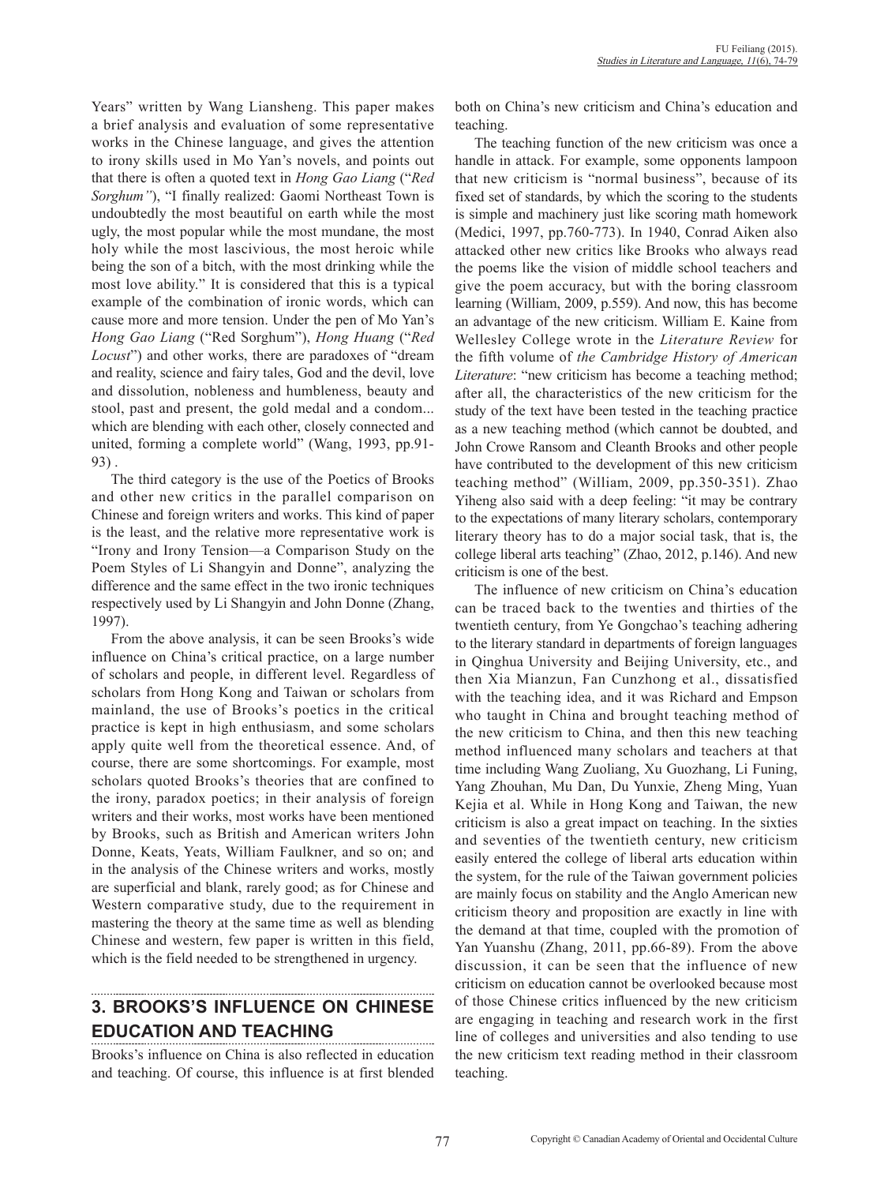Years" written by Wang Liansheng. This paper makes a brief analysis and evaluation of some representative works in the Chinese language, and gives the attention to irony skills used in Mo Yan's novels, and points out that there is often a quoted text in *Hong Gao Liang* ("*Red Sorghum"*), "I finally realized: Gaomi Northeast Town is undoubtedly the most beautiful on earth while the most ugly, the most popular while the most mundane, the most holy while the most lascivious, the most heroic while being the son of a bitch, with the most drinking while the most love ability." It is considered that this is a typical example of the combination of ironic words, which can cause more and more tension. Under the pen of Mo Yan's *Hong Gao Liang* ("Red Sorghum"), *Hong Huang* ("*Red Locust*") and other works, there are paradoxes of "dream and reality, science and fairy tales, God and the devil, love and dissolution, nobleness and humbleness, beauty and stool, past and present, the gold medal and a condom... which are blending with each other, closely connected and united, forming a complete world" (Wang, 1993, pp.91- 93) .

The third category is the use of the Poetics of Brooks and other new critics in the parallel comparison on Chinese and foreign writers and works. This kind of paper is the least, and the relative more representative work is "Irony and Irony Tension—a Comparison Study on the Poem Styles of Li Shangyin and Donne", analyzing the difference and the same effect in the two ironic techniques respectively used by Li Shangyin and John Donne (Zhang, 1997).

From the above analysis, it can be seen Brooks's wide influence on China's critical practice, on a large number of scholars and people, in different level. Regardless of scholars from Hong Kong and Taiwan or scholars from mainland, the use of Brooks's poetics in the critical practice is kept in high enthusiasm, and some scholars apply quite well from the theoretical essence. And, of course, there are some shortcomings. For example, most scholars quoted Brooks's theories that are confined to the irony, paradox poetics; in their analysis of foreign writers and their works, most works have been mentioned by Brooks, such as British and American writers John Donne, Keats, Yeats, William Faulkner, and so on; and in the analysis of the Chinese writers and works, mostly are superficial and blank, rarely good; as for Chinese and Western comparative study, due to the requirement in mastering the theory at the same time as well as blending Chinese and western, few paper is written in this field, which is the field needed to be strengthened in urgency.

# **3. BROOKS'S INFLUENCE ON CHINESE EDUCATION AND TEACHING**

Brooks's influence on China is also reflected in education and teaching. Of course, this influence is at first blended both on China's new criticism and China's education and teaching.

The teaching function of the new criticism was once a handle in attack. For example, some opponents lampoon that new criticism is "normal business", because of its fixed set of standards, by which the scoring to the students is simple and machinery just like scoring math homework (Medici, 1997, pp.760-773). In 1940, Conrad Aiken also attacked other new critics like Brooks who always read the poems like the vision of middle school teachers and give the poem accuracy, but with the boring classroom learning (William, 2009, p.559). And now, this has become an advantage of the new criticism. William E. Kaine from Wellesley College wrote in the *Literature Review* for the fifth volume of *the Cambridge History of American Literature*: "new criticism has become a teaching method; after all, the characteristics of the new criticism for the study of the text have been tested in the teaching practice as a new teaching method (which cannot be doubted, and John Crowe Ransom and Cleanth Brooks and other people have contributed to the development of this new criticism teaching method" (William, 2009, pp.350-351). Zhao Yiheng also said with a deep feeling: "it may be contrary to the expectations of many literary scholars, contemporary literary theory has to do a major social task, that is, the college liberal arts teaching" (Zhao, 2012, p.146). And new criticism is one of the best.

The influence of new criticism on China's education can be traced back to the twenties and thirties of the twentieth century, from Ye Gongchao's teaching adhering to the literary standard in departments of foreign languages in Qinghua University and Beijing University, etc., and then Xia Mianzun, Fan Cunzhong et al., dissatisfied with the teaching idea, and it was Richard and Empson who taught in China and brought teaching method of the new criticism to China, and then this new teaching method influenced many scholars and teachers at that time including Wang Zuoliang, Xu Guozhang, Li Funing, Yang Zhouhan, Mu Dan, Du Yunxie, Zheng Ming, Yuan Kejia et al. While in Hong Kong and Taiwan, the new criticism is also a great impact on teaching. In the sixties and seventies of the twentieth century, new criticism easily entered the college of liberal arts education within the system, for the rule of the Taiwan government policies are mainly focus on stability and the Anglo American new criticism theory and proposition are exactly in line with the demand at that time, coupled with the promotion of Yan Yuanshu (Zhang, 2011, pp.66-89). From the above discussion, it can be seen that the influence of new criticism on education cannot be overlooked because most of those Chinese critics influenced by the new criticism are engaging in teaching and research work in the first line of colleges and universities and also tending to use the new criticism text reading method in their classroom teaching.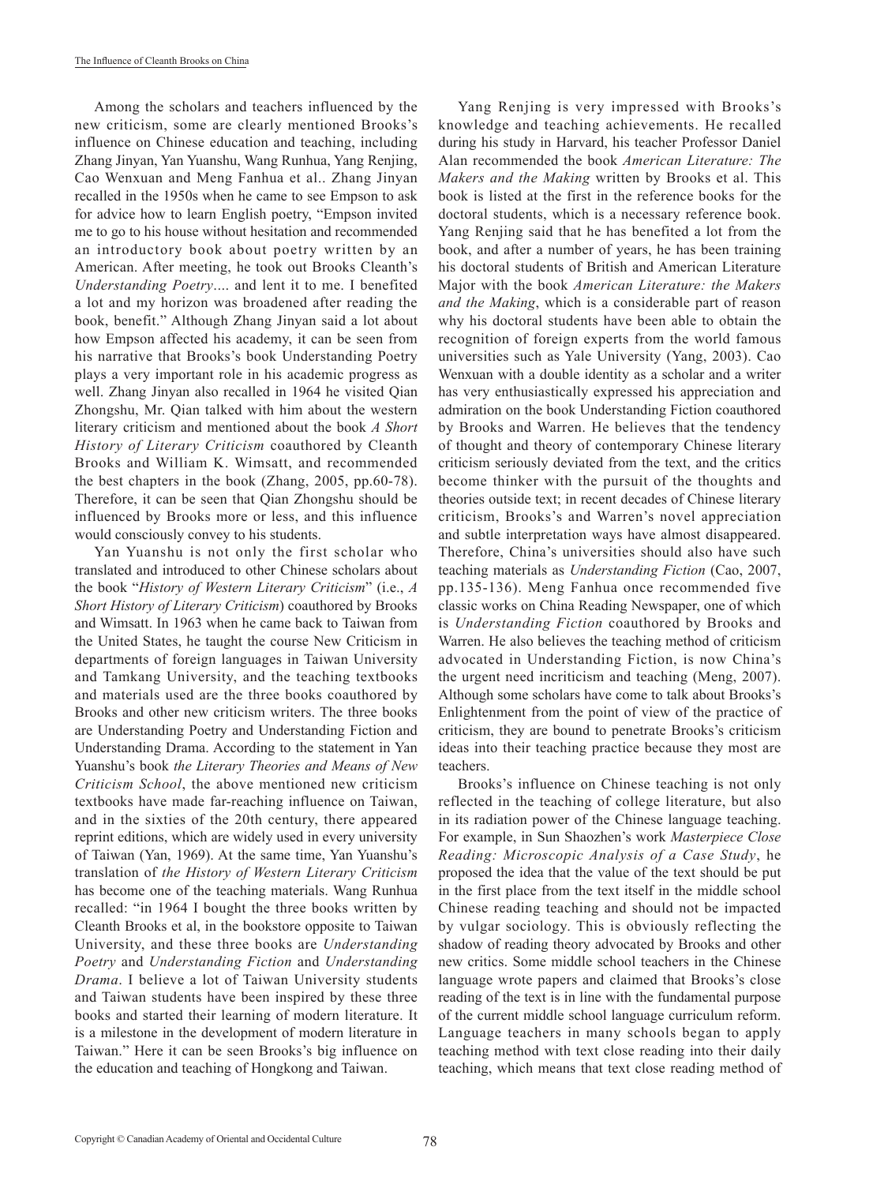Among the scholars and teachers influenced by the new criticism, some are clearly mentioned Brooks's influence on Chinese education and teaching, including Zhang Jinyan, Yan Yuanshu, Wang Runhua, Yang Renjing, Cao Wenxuan and Meng Fanhua et al.. Zhang Jinyan recalled in the 1950s when he came to see Empson to ask for advice how to learn English poetry, "Empson invited me to go to his house without hesitation and recommended an introductory book about poetry written by an American. After meeting, he took out Brooks Cleanth's *Understanding Poetry*.... and lent it to me. I benefited a lot and my horizon was broadened after reading the book, benefit." Although Zhang Jinyan said a lot about how Empson affected his academy, it can be seen from his narrative that Brooks's book Understanding Poetry plays a very important role in his academic progress as well. Zhang Jinyan also recalled in 1964 he visited Qian Zhongshu, Mr. Qian talked with him about the western literary criticism and mentioned about the book *A Short History of Literary Criticism* coauthored by Cleanth Brooks and William K. Wimsatt, and recommended the best chapters in the book (Zhang, 2005, pp.60-78). Therefore, it can be seen that Qian Zhongshu should be influenced by Brooks more or less, and this influence would consciously convey to his students.

Yan Yuanshu is not only the first scholar who translated and introduced to other Chinese scholars about the book "*History of Western Literary Criticism*" (i.e., *A Short History of Literary Criticism*) coauthored by Brooks and Wimsatt. In 1963 when he came back to Taiwan from the United States, he taught the course New Criticism in departments of foreign languages in Taiwan University and Tamkang University, and the teaching textbooks and materials used are the three books coauthored by Brooks and other new criticism writers. The three books are Understanding Poetry and Understanding Fiction and Understanding Drama. According to the statement in Yan Yuanshu's book *the Literary Theories and Means of New Criticism School*, the above mentioned new criticism textbooks have made far-reaching influence on Taiwan, and in the sixties of the 20th century, there appeared reprint editions, which are widely used in every university of Taiwan (Yan, 1969). At the same time, Yan Yuanshu's translation of *the History of Western Literary Criticism* has become one of the teaching materials. Wang Runhua recalled: "in 1964 I bought the three books written by Cleanth Brooks et al, in the bookstore opposite to Taiwan University, and these three books are *Understanding Poetry* and *Understanding Fiction* and *Understanding Drama*. I believe a lot of Taiwan University students and Taiwan students have been inspired by these three books and started their learning of modern literature. It is a milestone in the development of modern literature in Taiwan." Here it can be seen Brooks's big influence on the education and teaching of Hongkong and Taiwan.

Yang Renjing is very impressed with Brooks's knowledge and teaching achievements. He recalled during his study in Harvard, his teacher Professor Daniel Alan recommended the book *American Literature: The Makers and the Making* written by Brooks et al. This book is listed at the first in the reference books for the doctoral students, which is a necessary reference book. Yang Renjing said that he has benefited a lot from the book, and after a number of years, he has been training his doctoral students of British and American Literature Major with the book *American Literature: the Makers and the Making*, which is a considerable part of reason why his doctoral students have been able to obtain the recognition of foreign experts from the world famous universities such as Yale University (Yang, 2003). Cao Wenxuan with a double identity as a scholar and a writer has very enthusiastically expressed his appreciation and admiration on the book Understanding Fiction coauthored by Brooks and Warren. He believes that the tendency of thought and theory of contemporary Chinese literary criticism seriously deviated from the text, and the critics become thinker with the pursuit of the thoughts and theories outside text; in recent decades of Chinese literary criticism, Brooks's and Warren's novel appreciation and subtle interpretation ways have almost disappeared. Therefore, China's universities should also have such teaching materials as *Understanding Fiction* (Cao, 2007, pp.135-136). Meng Fanhua once recommended five classic works on China Reading Newspaper, one of which is *Understanding Fiction* coauthored by Brooks and Warren. He also believes the teaching method of criticism advocated in Understanding Fiction, is now China's the urgent need incriticism and teaching (Meng, 2007). Although some scholars have come to talk about Brooks's Enlightenment from the point of view of the practice of criticism, they are bound to penetrate Brooks's criticism ideas into their teaching practice because they most are teachers.

Brooks's influence on Chinese teaching is not only reflected in the teaching of college literature, but also in its radiation power of the Chinese language teaching. For example, in Sun Shaozhen's work *Masterpiece Close Reading: Microscopic Analysis of a Case Study*, he proposed the idea that the value of the text should be put in the first place from the text itself in the middle school Chinese reading teaching and should not be impacted by vulgar sociology. This is obviously reflecting the shadow of reading theory advocated by Brooks and other new critics. Some middle school teachers in the Chinese language wrote papers and claimed that Brooks's close reading of the text is in line with the fundamental purpose of the current middle school language curriculum reform. Language teachers in many schools began to apply teaching method with text close reading into their daily teaching, which means that text close reading method of